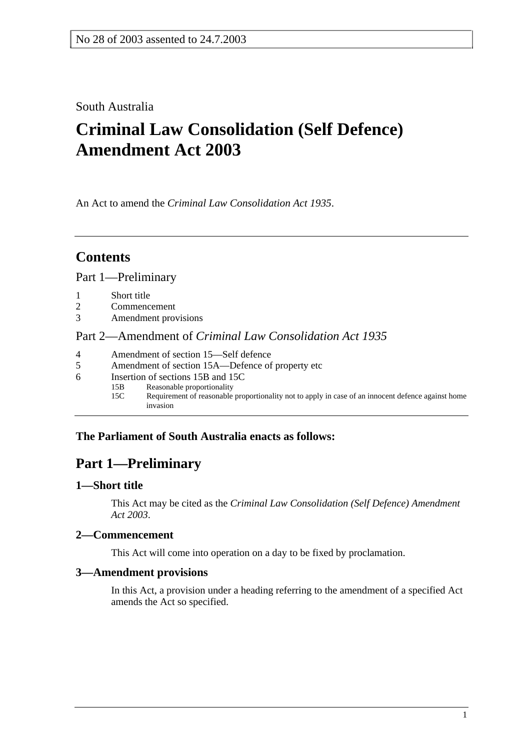### South Australia

# **Criminal Law Consolidation (Self Defence) Amendment Act 2003**

An Act to amend the *Criminal Law Consolidation Act 1935*.

# **Contents**

Part 1—Preliminary

- 1 Short title
- 2 Commencement
- 3 Amendment provisions

#### Part 2—Amendment of *Criminal Law Consolidation Act 1935*

- 4 Amendment of section 15—Self defence
- 5 Amendment of section 15A—Defence of property etc
- 6 Insertion of sections 15B and 15C
	- 15B Reasonable proportionality<br>15C Requirement of reasonable
		- Requirement of reasonable proportionality not to apply in case of an innocent defence against home invasion

#### **The Parliament of South Australia enacts as follows:**

# **Part 1—Preliminary**

#### **1—Short title**

This Act may be cited as the *Criminal Law Consolidation (Self Defence) Amendment Act 2003*.

#### **2—Commencement**

This Act will come into operation on a day to be fixed by proclamation.

#### **3—Amendment provisions**

In this Act, a provision under a heading referring to the amendment of a specified Act amends the Act so specified.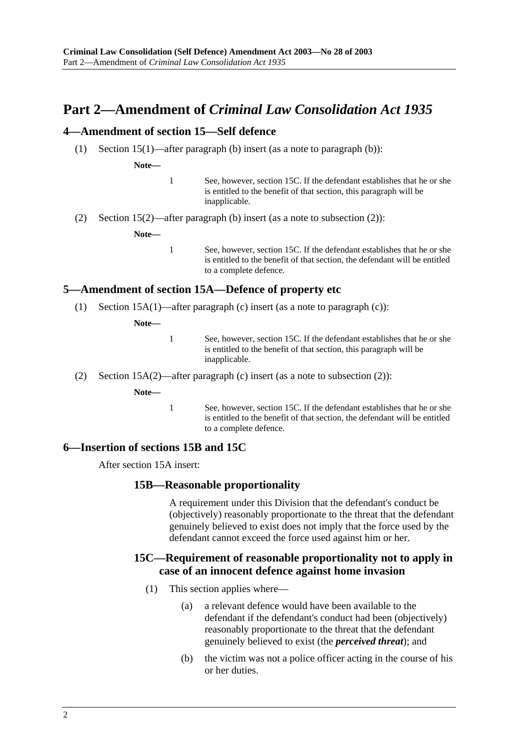## **Part 2—Amendment of** *Criminal Law Consolidation Act 1935*

#### **4—Amendment of section 15—Self defence**

(1) Section 15(1)—after paragraph (b) insert (as a note to paragraph (b)):

**Note—** 

1 See, however, section 15C. If the defendant establishes that he or she is entitled to the benefit of that section, this paragraph will be inapplicable.

(2) Section 15(2)—after paragraph (b) insert (as a note to subsection (2)):

**Note—** 

1 See, however, section 15C. If the defendant establishes that he or she is entitled to the benefit of that section, the defendant will be entitled to a complete defence.

#### **5—Amendment of section 15A—Defence of property etc**

(1) Section  $15A(1)$ —after paragraph (c) insert (as a note to paragraph (c)):

**Note—** 

- 1 See, however, section 15C. If the defendant establishes that he or she is entitled to the benefit of that section, this paragraph will be inapplicable.
- (2) Section 15A(2)—after paragraph (c) insert (as a note to subsection (2)):

**Note—** 

1 See, however, section 15C. If the defendant establishes that he or she is entitled to the benefit of that section, the defendant will be entitled to a complete defence.

#### **6—Insertion of sections 15B and 15C**

After section 15A insert:

#### **15B—Reasonable proportionality**

A requirement under this Division that the defendant's conduct be (objectively) reasonably proportionate to the threat that the defendant genuinely believed to exist does not imply that the force used by the defendant cannot exceed the force used against him or her.

#### **15C—Requirement of reasonable proportionality not to apply in case of an innocent defence against home invasion**

- (1) This section applies where—
	- (a) a relevant defence would have been available to the defendant if the defendant's conduct had been (objectively) reasonably proportionate to the threat that the defendant genuinely believed to exist (the *perceived threat*); and
	- (b) the victim was not a police officer acting in the course of his or her duties.